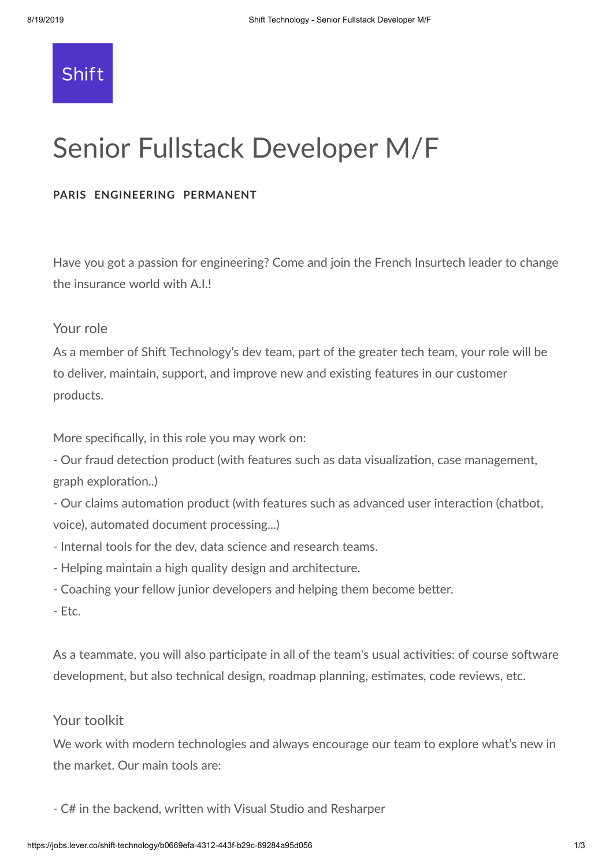

# Senior Fullstack Developer M/F

## **PARIS ENGINEERING PERMANENT**

Have you got a passion for engineering? Come and join the French Insurtech leader to change the insurance world with A.I.!

# Your role

As a member of Shift Technology's dev team, part of the greater tech team, your role will be to deliver, maintain, support, and improve new and existing features in our customer products.

More specifically, in this role you may work on:

- Our fraud detection product (with features such as data visualization, case management, graph exploration..)

- Our claims automation product (with features such as advanced user interaction (chatbot, voice), automated document processing...)

- Internal tools for the dev, data science and research teams.
- Helping maintain a high quality design and architecture.
- Coaching your fellow junior developers and helping them become better.
- Etc.

As a teammate, you will also participate in all of the team's usual activities: of course software development, but also technical design, roadmap planning, estimates, code reviews, etc.

# Your toolkit

We work with modern technologies and always encourage our team to explore what's new in the market. Our main tools are:

- C# in the backend, written with Visual Studio and Resharper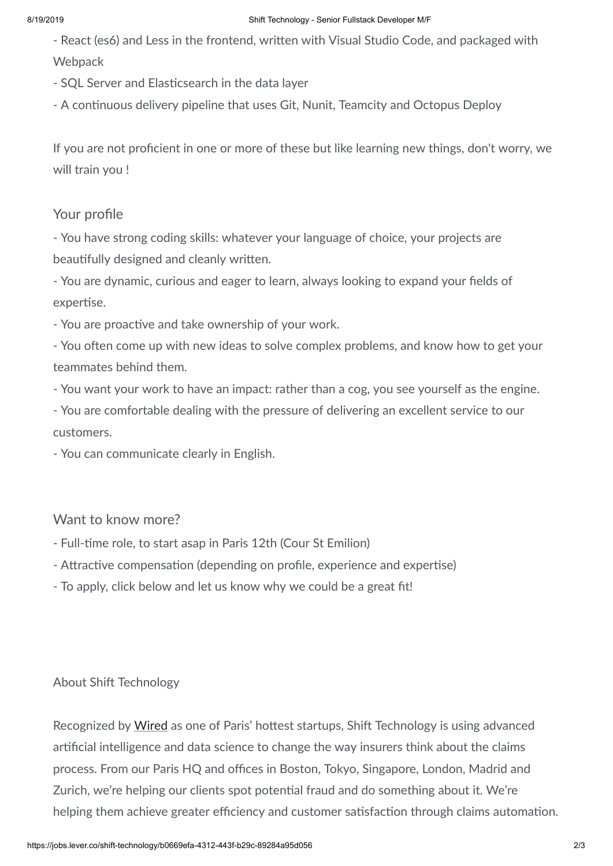#### 8/19/2019 Shift Technology - Senior Fullstack Developer M/F

- React (es6) and Less in the frontend, written with Visual Studio Code, and packaged with **Webpack** 

- SQL Server and Elasticsearch in the data layer
- A continuous delivery pipeline that uses Git, Nunit, Teamcity and Octopus Deploy

If you are not proficient in one or more of these but like learning new things, don't worry, we will train you !

## Your profile

- You have strong coding skills: whatever your language of choice, your projects are beautifully designed and cleanly written.

- You are dynamic, curious and eager to learn, always looking to expand your fields of expertise.

- You are proactive and take ownership of your work.

- You often come up with new ideas to solve complex problems, and know how to get your teammates behind them.

- You want your work to have an impact: rather than a cog, you see yourself as the engine.

- You are comfortable dealing with the pressure of delivering an excellent service to our customers.

- You can communicate clearly in English.

## Want to know more?

- Full-time role, to start asap in Paris 12th (Cour St Emilion)
- Attractive compensation (depending on profile, experience and expertise)
- To apply, click below and let us know why we could be a great fit!

## About Shift Technology

Recognized by [Wired](https://www.wired.co.uk/article/best-startups-in-paris-2018) as one of Paris' hottest startups, Shift Technology is using advanced arficial intelligence and data science to change the way insurers think about the claims process. From our Paris HQ and offices in Boston, Tokyo, Singapore, London, Madrid and Zurich, we're helping our clients spot potential fraud and do something about it. We're helping them achieve greater efficiency and customer satisfaction through claims automation.